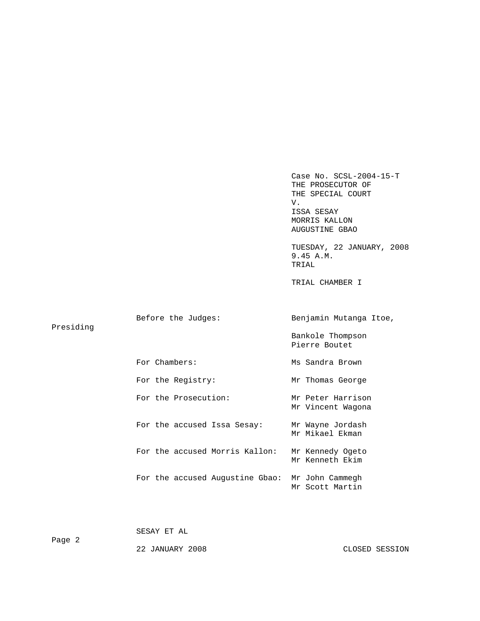Case No. SCSL-2004-15-T THE PROSECUTOR OF THE SPECIAL COURT V. V. ISSA SESAY MORRIS KALLON AUGUSTINE GBAO

 TUESDAY, 22 JANUARY, 2008 9.45 A.M. TRIAL

TRIAL CHAMBER I

| Presiding | Before the Judges:              | Benjamin Mutanga Itoe,                 |  |
|-----------|---------------------------------|----------------------------------------|--|
|           |                                 | Bankole Thompson<br>Pierre Boutet      |  |
|           | For Chambers:                   | Ms Sandra Brown                        |  |
|           | For the Registry:               | Mr Thomas George                       |  |
|           | For the Prosecution:            | Mr Peter Harrison<br>Mr Vincent Wagona |  |
|           | For the accused Issa Sesay:     | Mr Wayne Jordash<br>Mr Mikael Ekman    |  |
|           | For the accused Morris Kallon:  | Mr Kennedy Ogeto<br>Mr Kenneth Ekim    |  |
|           | For the accused Augustine Gbao: | Mr John Cammegh<br>Mr Scott Martin     |  |

SESAY ET AL

Page 2

22 JANUARY 2008 CLOSED SESSION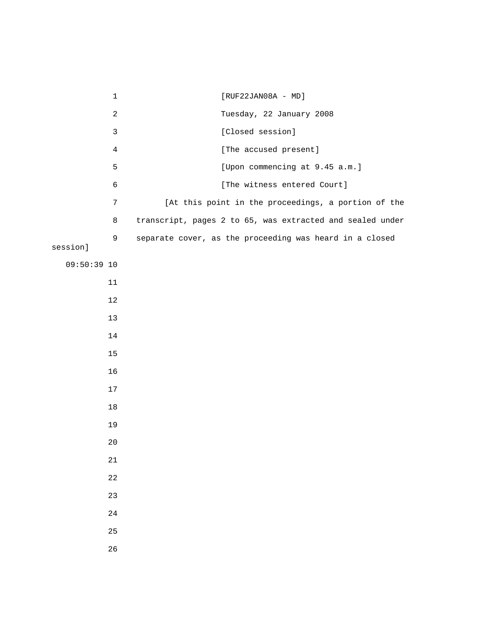1 [RUF22JAN08A - MD] 2 Tuesday, 22 January 2008 3 [Closed session] 4 [The accused present] 5 [Upon commencing at 9.45 a.m.] 6 [The witness entered Court] 7 [At this point in the proceedings, a portion of the 8 transcript, pages 2 to 65, was extracted and sealed under 9 separate cover, as the proceeding was heard in a closed session] 09:50:39 10 11 12 13 14 15 16 17 18 19 20 21 22 23 24 25 26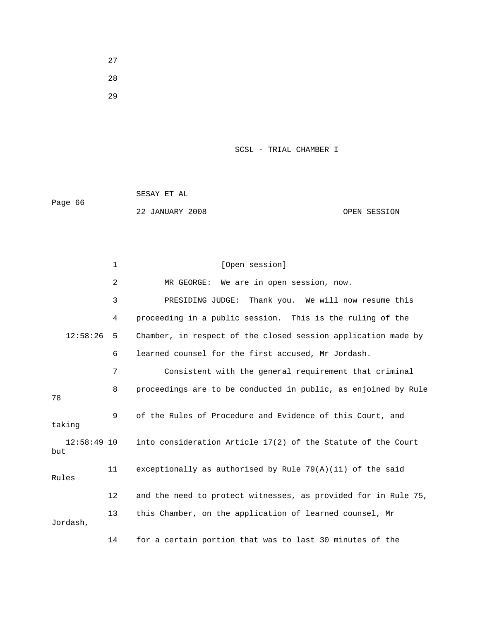27 28

29

### SCSL - TRIAL CHAMBER I

|         | SESAY ET AL     |              |
|---------|-----------------|--------------|
| Page 66 |                 |              |
|         | 22 JANUARY 2008 | OPEN SESSION |

1 [Open session] 2 MR GEORGE: We are in open session, now. 3 PRESIDING JUDGE: Thank you. We will now resume this 4 proceeding in a public session. This is the ruling of the 12:58:26 5 Chamber, in respect of the closed session application made by 6 learned counsel for the first accused, Mr Jordash. 7 Consistent with the general requirement that criminal 8 proceedings are to be conducted in public, as enjoined by Rule 78 9 of the Rules of Procedure and Evidence of this Court, and taking 12:58:49 10 into consideration Article 17(2) of the Statute of the Court but 11 exceptionally as authorised by Rule 79(A)(ii) of the said Rules 12 and the need to protect witnesses, as provided for in Rule 75, 13 this Chamber, on the application of learned counsel, Mr Jordash,

14 for a certain portion that was to last 30 minutes of the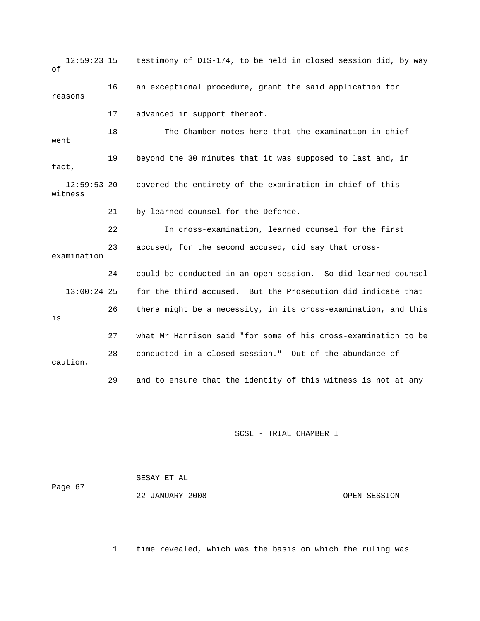12:59:23 15 testimony of DIS-174, to be held in closed session did, by way of 16 an exceptional procedure, grant the said application for reasons 17 advanced in support thereof. 18 The Chamber notes here that the examination-in-chief went 19 beyond the 30 minutes that it was supposed to last and, in fact, 12:59:53 20 covered the entirety of the examination-in-chief of this witness 21 by learned counsel for the Defence. 22 In cross-examination, learned counsel for the first 23 accused, for the second accused, did say that crossexamination 24 could be conducted in an open session. So did learned counsel 13:00:24 25 for the third accused. But the Prosecution did indicate that 26 there might be a necessity, in its cross-examination, and this is 27 what Mr Harrison said "for some of his cross-examination to be 28 conducted in a closed session." Out of the abundance of caution, 29 and to ensure that the identity of this witness is not at any

### SCSL - TRIAL CHAMBER I

|         | SESAY ET AL     |              |  |
|---------|-----------------|--------------|--|
| Page 67 | 22 JANUARY 2008 | OPEN SESSION |  |
|         |                 |              |  |

1 time revealed, which was the basis on which the ruling was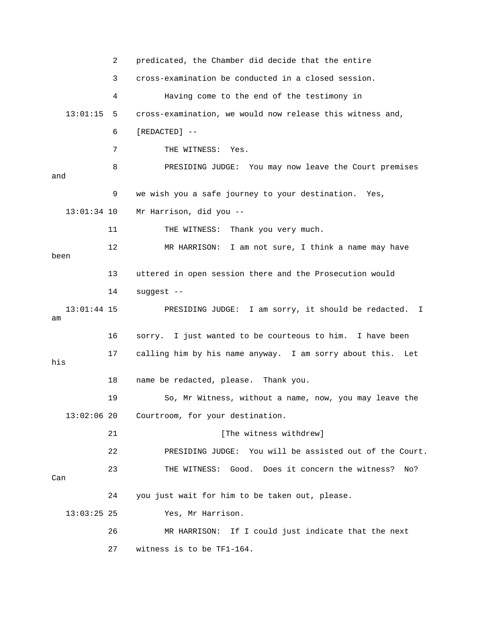2 predicated, the Chamber did decide that the entire 3 cross-examination be conducted in a closed session. 4 Having come to the end of the testimony in 13:01:15 5 cross-examination, we would now release this witness and, 6 [REDACTED] -- 7 THE WITNESS: Yes. 8 PRESIDING JUDGE: You may now leave the Court premises and 9 we wish you a safe journey to your destination. Yes, 13:01:34 10 Mr Harrison, did you -- 11 THE WITNESS: Thank you very much. 12 MR HARRISON: I am not sure, I think a name may have been 13 uttered in open session there and the Prosecution would 14 suggest -- 13:01:44 15 PRESIDING JUDGE: I am sorry, it should be redacted. I am 16 sorry. I just wanted to be courteous to him. I have been 17 calling him by his name anyway. I am sorry about this. Let his 18 name be redacted, please. Thank you. 19 So, Mr Witness, without a name, now, you may leave the 13:02:06 20 Courtroom, for your destination. 21 [The witness withdrew] 22 PRESIDING JUDGE: You will be assisted out of the Court. 23 THE WITNESS: Good. Does it concern the witness? No? Can 24 you just wait for him to be taken out, please. 13:03:25 25 Yes, Mr Harrison. 26 MR HARRISON: If I could just indicate that the next 27 witness is to be TF1-164.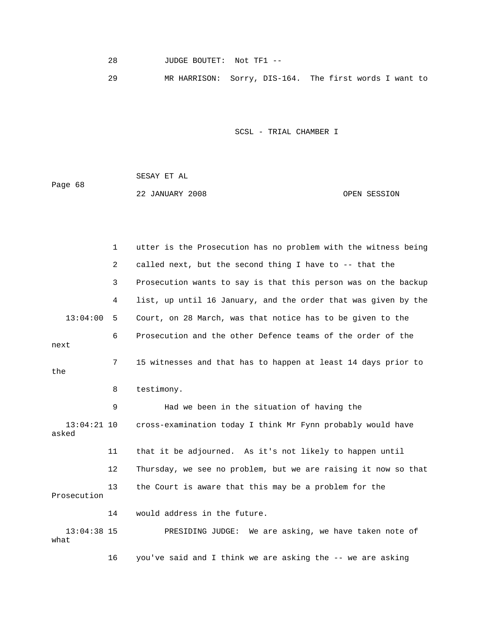28 JUDGE BOUTET: Not TF1 --

29 MR HARRISON: Sorry, DIS-164. The first words I want to

SCSL - TRIAL CHAMBER I

 SESAY ET AL Page 68 22 JANUARY 2008 OPEN SESSION

 1 utter is the Prosecution has no problem with the witness being 2 called next, but the second thing I have to -- that the 3 Prosecution wants to say is that this person was on the backup 4 list, up until 16 January, and the order that was given by the 13:04:00 5 Court, on 28 March, was that notice has to be given to the 6 Prosecution and the other Defence teams of the order of the next 7 15 witnesses and that has to happen at least 14 days prior to the 8 testimony. 9 Had we been in the situation of having the 13:04:21 10 cross-examination today I think Mr Fynn probably would have asked 11 that it be adjourned. As it's not likely to happen until 12 Thursday, we see no problem, but we are raising it now so that 13 the Court is aware that this may be a problem for the Prosecution 14 would address in the future. 13:04:38 15 PRESIDING JUDGE: We are asking, we have taken note of what 16 you've said and I think we are asking the -- we are asking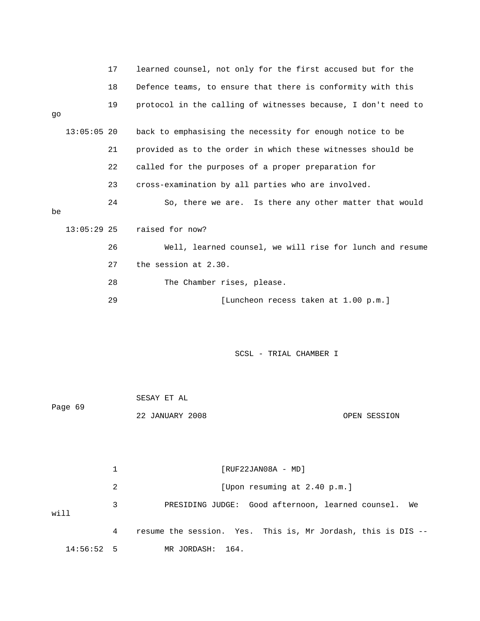|    |               | 17 | learned counsel, not only for the first accused but for the   |
|----|---------------|----|---------------------------------------------------------------|
|    |               | 18 | Defence teams, to ensure that there is conformity with this   |
| qo |               | 19 | protocol in the calling of witnesses because, I don't need to |
|    | $13:05:05$ 20 |    | back to emphasising the necessity for enough notice to be     |
|    |               | 21 | provided as to the order in which these witnesses should be   |
|    |               | 22 | called for the purposes of a proper preparation for           |
|    |               | 23 | cross-examination by all parties who are involved.            |
| be |               | 24 | So, there we are. Is there any other matter that would        |
|    | $13:05:29$ 25 |    | raised for now?                                               |
|    |               | 26 | Well, learned counsel, we will rise for lunch and resume      |
|    |               | 27 | the session at 2.30.                                          |
|    |               | 28 | The Chamber rises, please.                                    |
|    |               | 29 | [Luncheon recess taken at 1.00 p.m.]                          |
|    |               |    |                                                               |

| Page 69  |   | SESAY ET AL                                                  |
|----------|---|--------------------------------------------------------------|
|          |   | 22 JANUARY 2008<br>OPEN SESSION                              |
|          |   |                                                              |
|          |   |                                                              |
|          | 1 | $[RUF22JAN08A - MD]$                                         |
|          | 2 | [Upon resuming at 2.40 p.m.]                                 |
| will     | 3 | PRESIDING JUDGE: Good afternoon, learned counsel.<br>We      |
|          | 4 | resume the session. Yes. This is, Mr Jordash, this is DIS -- |
| 14:56:52 | 5 | MR JORDASH:<br>164.                                          |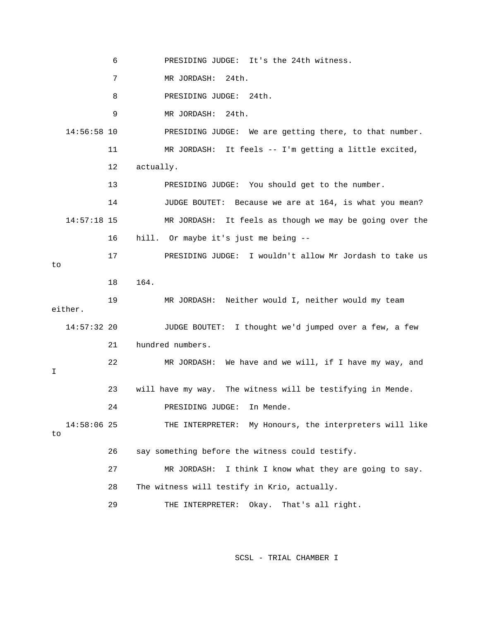6 PRESIDING JUDGE: It's the 24th witness. 7 MR JORDASH: 24th. 8 PRESIDING JUDGE: 24th. 9 MR JORDASH: 24th. 14:56:58 10 PRESIDING JUDGE: We are getting there, to that number. 11 MR JORDASH: It feels -- I'm getting a little excited, 12 actually. 13 PRESIDING JUDGE: You should get to the number. 14 JUDGE BOUTET: Because we are at 164, is what you mean? 14:57:18 15 MR JORDASH: It feels as though we may be going over the 16 hill. Or maybe it's just me being -- 17 PRESIDING JUDGE: I wouldn't allow Mr Jordash to take us to 18 164. 19 MR JORDASH: Neither would I, neither would my team either. 14:57:32 20 JUDGE BOUTET: I thought we'd jumped over a few, a few 21 hundred numbers. 22 MR JORDASH: We have and we will, if I have my way, and I 23 will have my way. The witness will be testifying in Mende. 24 PRESIDING JUDGE: In Mende. 14:58:06 25 THE INTERPRETER: My Honours, the interpreters will like to 26 say something before the witness could testify. 27 MR JORDASH: I think I know what they are going to say. 28 The witness will testify in Krio, actually. 29 THE INTERPRETER: Okay. That's all right.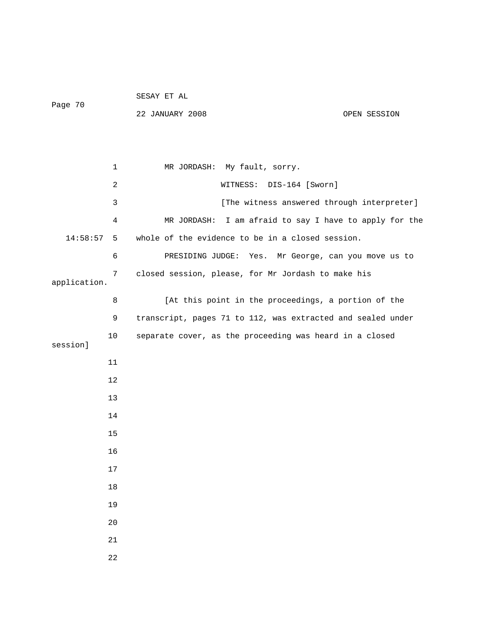## SESAY ET AL Page 70

22 JANUARY 2008 OPEN SESSION

 1 MR JORDASH: My fault, sorry. 2 WITNESS: DIS-164 [Sworn] 3 [The witness answered through interpreter] 4 MR JORDASH: I am afraid to say I have to apply for the 14:58:57 5 whole of the evidence to be in a closed session. 6 PRESIDING JUDGE: Yes. Mr George, can you move us to 7 closed session, please, for Mr Jordash to make his application. 8 [At this point in the proceedings, a portion of the 9 transcript, pages 71 to 112, was extracted and sealed under 10 separate cover, as the proceeding was heard in a closed session] 11 12 13 14 15 16 17 18 19 20 21 22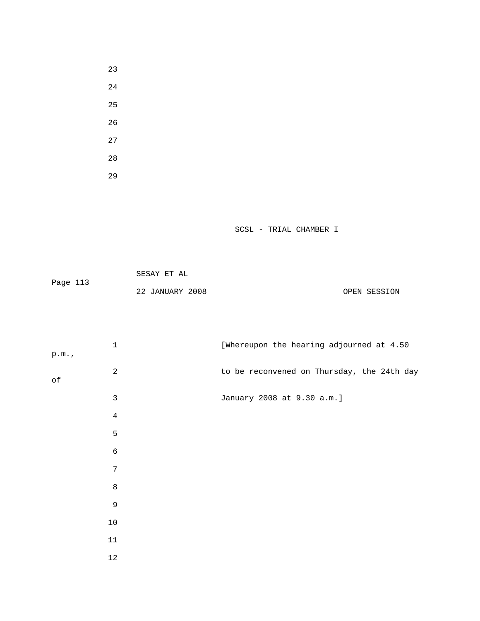|          | SESAY ET AL     |              |
|----------|-----------------|--------------|
| Page 113 |                 |              |
|          | 22 JANUARY 2008 | OPEN SESSION |

| p.m.      | $\mathbf{1}$   | [Whereupon the hearing adjourned at 4.50   |
|-----------|----------------|--------------------------------------------|
|           | $\overline{a}$ | to be reconvened on Thursday, the 24th day |
| $\circ f$ |                |                                            |
|           | $\mathbf{3}$   | January 2008 at 9.30 a.m.]                 |
|           | $\overline{4}$ |                                            |
|           | 5              |                                            |
|           | $\epsilon$     |                                            |
|           | $\sqrt{ }$     |                                            |
|           | $\,8\,$        |                                            |
|           | $\mathsf 9$    |                                            |
|           | $10$           |                                            |
|           | $11\,$         |                                            |
|           | $12\,$         |                                            |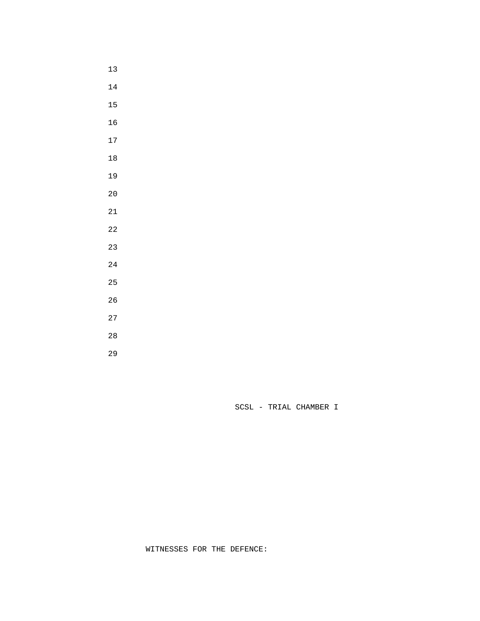- 
- 
- 
- 
- 
- 
- 
- 
- 
- 
- 
- 
- 
- 
- 
- 
- 
- 
-